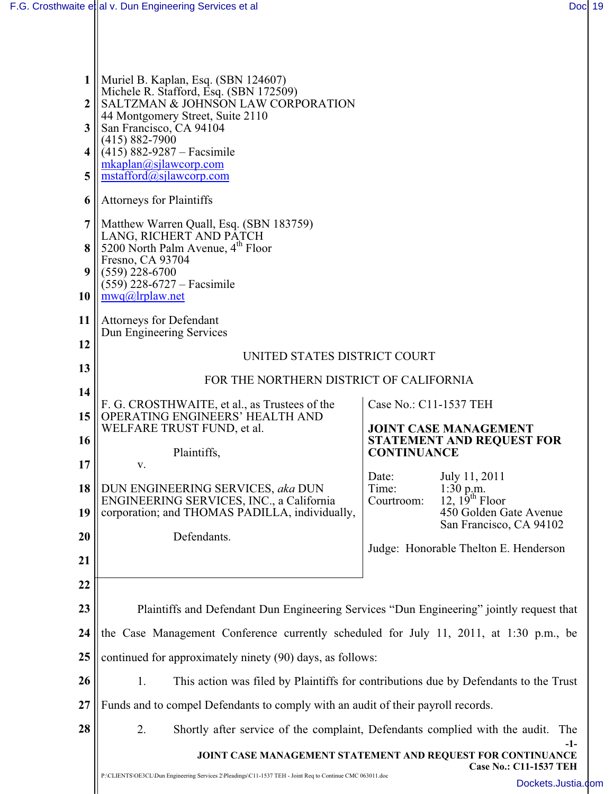| 1<br>$\overline{2}$<br>3<br>4 | Muriel B. Kaplan, Esq. (SBN 124607)<br>Michele R. Stafford, Esq. (SBN 172509)<br>SALTZMAN & JOHNSON LAW CORPORATION<br>44 Montgomery Street, Suite 2110<br>San Francisco, CA 94104<br>$(415) 882 - 7900$<br>$(415)$ 882-9287 – Facsimile<br>mkaplan@sjlawcorp.com |                                                                                        |                                                   |  |  |  |
|-------------------------------|-------------------------------------------------------------------------------------------------------------------------------------------------------------------------------------------------------------------------------------------------------------------|----------------------------------------------------------------------------------------|---------------------------------------------------|--|--|--|
| 5                             | $m_{\text{stafford}(a)\text{silawcor}p\text{.com}}$                                                                                                                                                                                                               |                                                                                        |                                                   |  |  |  |
| 6                             | <b>Attorneys for Plaintiffs</b>                                                                                                                                                                                                                                   |                                                                                        |                                                   |  |  |  |
| $\overline{7}$                | Matthew Warren Quall, Esq. (SBN 183759)<br>LANG, RICHERT AND PATCH                                                                                                                                                                                                |                                                                                        |                                                   |  |  |  |
| 8                             | 5200 North Palm Avenue, 4 <sup>th</sup> Floor<br>Fresno, CA 93704                                                                                                                                                                                                 |                                                                                        |                                                   |  |  |  |
| 9                             | $(559)$ 228-6700<br>$(559)$ 228-6727 – Facsimile                                                                                                                                                                                                                  |                                                                                        |                                                   |  |  |  |
| 10                            | mwa@lrplaw.net                                                                                                                                                                                                                                                    |                                                                                        |                                                   |  |  |  |
| 11                            | <b>Attorneys for Defendant</b><br>Dun Engineering Services                                                                                                                                                                                                        |                                                                                        |                                                   |  |  |  |
| 12                            | UNITED STATES DISTRICT COURT                                                                                                                                                                                                                                      |                                                                                        |                                                   |  |  |  |
| 13                            | FOR THE NORTHERN DISTRICT OF CALIFORNIA                                                                                                                                                                                                                           |                                                                                        |                                                   |  |  |  |
| 14                            | F. G. CROSTHWAITE, et al., as Trustees of the<br>Case No.: C11-1537 TEH                                                                                                                                                                                           |                                                                                        |                                                   |  |  |  |
| 15                            | OPERATING ENGINEERS' HEALTH AND<br>WELFARE TRUST FUND, et al.                                                                                                                                                                                                     | <b>JOINT CASE MANAGEMENT</b><br><b>STATEMENT AND REQUEST FOR</b><br><b>CONTINUANCE</b> |                                                   |  |  |  |
| 16                            | Plaintiffs,                                                                                                                                                                                                                                                       |                                                                                        |                                                   |  |  |  |
| 17                            | V.                                                                                                                                                                                                                                                                | Date:                                                                                  | July 11, 2011                                     |  |  |  |
| 18                            | DUN ENGINEERING SERVICES, aka DUN<br>ENGINEERING SERVICES, INC., a California                                                                                                                                                                                     | Time:<br>Courtroom:                                                                    | 1:30 p.m.<br>12, $19^{th}$ Floor                  |  |  |  |
| 19                            | corporation; and THOMAS PADILLA, individually,                                                                                                                                                                                                                    |                                                                                        | 450 Golden Gate Avenue<br>San Francisco, CA 94102 |  |  |  |
| 20                            | Defendants.                                                                                                                                                                                                                                                       |                                                                                        |                                                   |  |  |  |
| 21                            |                                                                                                                                                                                                                                                                   | Judge: Honorable Thelton E. Henderson                                                  |                                                   |  |  |  |
| 22                            |                                                                                                                                                                                                                                                                   |                                                                                        |                                                   |  |  |  |
| 23                            | Plaintiffs and Defendant Dun Engineering Services "Dun Engineering" jointly request that                                                                                                                                                                          |                                                                                        |                                                   |  |  |  |
| 24                            | the Case Management Conference currently scheduled for July 11, 2011, at 1:30 p.m., be                                                                                                                                                                            |                                                                                        |                                                   |  |  |  |
| 25                            | continued for approximately ninety (90) days, as follows:                                                                                                                                                                                                         |                                                                                        |                                                   |  |  |  |
| 26                            | This action was filed by Plaintiffs for contributions due by Defendants to the Trust<br>1.                                                                                                                                                                        |                                                                                        |                                                   |  |  |  |
| 27                            | Funds and to compel Defendants to comply with an audit of their payroll records.                                                                                                                                                                                  |                                                                                        |                                                   |  |  |  |
| 28                            | 2.<br>Shortly after service of the complaint, Defendants complied with the audit.<br>The                                                                                                                                                                          |                                                                                        |                                                   |  |  |  |
|                               | -1-<br>JOINT CASE MANAGEMENT STATEMENT AND REQUEST FOR CONTINUANCE                                                                                                                                                                                                |                                                                                        |                                                   |  |  |  |
|                               | <b>Case No.: C11-1537 TEH</b><br>P:\CLIENTS\OE3CL\Dun Engineering Services 2\Pleadings\C11-1537 TEH - Joint Req to Continue CMC 063011.doc<br>Dockets.Justia                                                                                                      |                                                                                        |                                                   |  |  |  |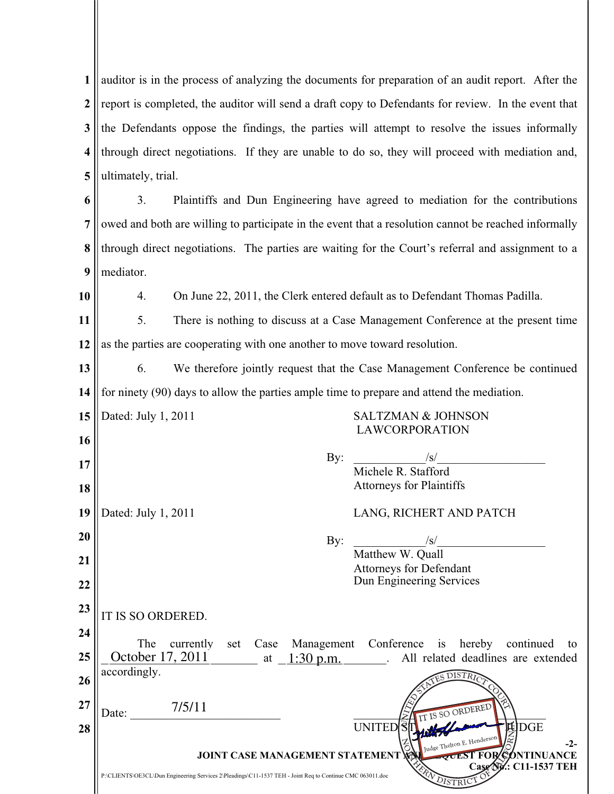| $\mathbf{1}$            |                                                                            | auditor is in the process of analyzing the documents for preparation of an audit report. After the                                                 |     |                                                    |  |  |  |
|-------------------------|----------------------------------------------------------------------------|----------------------------------------------------------------------------------------------------------------------------------------------------|-----|----------------------------------------------------|--|--|--|
| $\boldsymbol{2}$        |                                                                            |                                                                                                                                                    |     |                                                    |  |  |  |
|                         |                                                                            | report is completed, the auditor will send a draft copy to Defendants for review. In the event that                                                |     |                                                    |  |  |  |
| 3                       |                                                                            | the Defendants oppose the findings, the parties will attempt to resolve the issues informally                                                      |     |                                                    |  |  |  |
| $\overline{\mathbf{4}}$ |                                                                            | through direct negotiations. If they are unable to do so, they will proceed with mediation and,                                                    |     |                                                    |  |  |  |
| 5                       |                                                                            | ultimately, trial.                                                                                                                                 |     |                                                    |  |  |  |
| 6                       | 3.                                                                         | Plaintiffs and Dun Engineering have agreed to mediation for the contributions                                                                      |     |                                                    |  |  |  |
| 7                       |                                                                            | owed and both are willing to participate in the event that a resolution cannot be reached informally                                               |     |                                                    |  |  |  |
| 8                       |                                                                            | through direct negotiations. The parties are waiting for the Court's referral and assignment to a                                                  |     |                                                    |  |  |  |
| 9                       | mediator.                                                                  |                                                                                                                                                    |     |                                                    |  |  |  |
| 10                      | 4.                                                                         | On June 22, 2011, the Clerk entered default as to Defendant Thomas Padilla.                                                                        |     |                                                    |  |  |  |
| 11                      | 5.                                                                         | There is nothing to discuss at a Case Management Conference at the present time                                                                    |     |                                                    |  |  |  |
| 12                      | as the parties are cooperating with one another to move toward resolution. |                                                                                                                                                    |     |                                                    |  |  |  |
| 13                      | 6.                                                                         | We therefore jointly request that the Case Management Conference be continued                                                                      |     |                                                    |  |  |  |
| 14                      |                                                                            | for ninety (90) days to allow the parties ample time to prepare and attend the mediation.                                                          |     |                                                    |  |  |  |
| 15                      |                                                                            | Dated: July 1, 2011<br><b>SALTZMAN &amp; JOHNSON</b>                                                                                               |     |                                                    |  |  |  |
| 16                      |                                                                            |                                                                                                                                                    |     | <b>LAWCORPORATION</b>                              |  |  |  |
| 17                      |                                                                            |                                                                                                                                                    | By: | /s/<br>Michele R. Stafford                         |  |  |  |
| 18                      |                                                                            |                                                                                                                                                    |     | <b>Attorneys for Plaintiffs</b>                    |  |  |  |
| 19                      | Dated: July 1, 2011                                                        |                                                                                                                                                    |     | LANG, RICHERT AND PATCH                            |  |  |  |
| 20                      |                                                                            |                                                                                                                                                    | By: | $\sqrt{s}$                                         |  |  |  |
| 21                      |                                                                            |                                                                                                                                                    |     | Matthew W. Quall<br><b>Attorneys for Defendant</b> |  |  |  |
| 22                      |                                                                            |                                                                                                                                                    |     | Dun Engineering Services                           |  |  |  |
| 23                      | IT IS SO ORDERED.                                                          |                                                                                                                                                    |     |                                                    |  |  |  |
| 24                      |                                                                            |                                                                                                                                                    |     |                                                    |  |  |  |
| 25                      |                                                                            | The<br>currently set Case Management Conference is hereby continued<br>to<br>October 17, 2011 at $1:30$ p.m.<br>All related deadlines are extended |     |                                                    |  |  |  |
| 26                      | accordingly.                                                               |                                                                                                                                                    |     | DISTRI                                             |  |  |  |
| 27                      |                                                                            | 7/5/11                                                                                                                                             |     | IT IS SO ORDERED                                   |  |  |  |
| 28                      | Date:                                                                      |                                                                                                                                                    |     | 甩<br>DGE<br><b>UNITED</b>                          |  |  |  |
|                         |                                                                            | Judge Thelton E. Henderson<br>$-2-$<br><b>VUEST FOR CONTINUANCE</b><br><b>JOINT CASE MANAGEMENT STATEMENT VE</b>                                   |     |                                                    |  |  |  |
|                         |                                                                            | P:\CLIENTS\OE3CL\Dun Engineering Services 2\Pleadings\C11-1537 TEH - Joint Req to Continue CMC 063011.doc                                          |     | Case Ny: C11-1537 TEH<br>DISTRIC                   |  |  |  |
|                         |                                                                            |                                                                                                                                                    |     |                                                    |  |  |  |